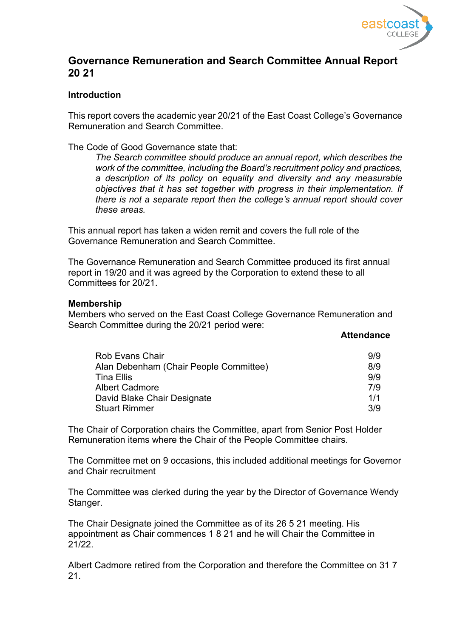

### **Governance Remuneration and Search Committee Annual Report 20 21**

### **Introduction**

This report covers the academic year 20/21 of the East Coast College's Governance Remuneration and Search Committee.

The Code of Good Governance state that:

*The Search committee should produce an annual report, which describes the work of the committee, including the Board's recruitment policy and practices, a description of its policy on equality and diversity and any measurable objectives that it has set together with progress in their implementation. If there is not a separate report then the college's annual report should cover these areas.*

This annual report has taken a widen remit and covers the full role of the Governance Remuneration and Search Committee.

The Governance Remuneration and Search Committee produced its first annual report in 19/20 and it was agreed by the Corporation to extend these to all Committees for 20/21.

### **Membership**

Members who served on the East Coast College Governance Remuneration and Search Committee during the 20/21 period were:

| <b>Rob Evans Chair</b>                 | 9/9 |
|----------------------------------------|-----|
| Alan Debenham (Chair People Committee) | 8/9 |
| <b>Tina Ellis</b>                      | 9/9 |
| <b>Albert Cadmore</b>                  | 7/9 |
| David Blake Chair Designate            | 1/1 |
| <b>Stuart Rimmer</b>                   | 3/9 |

The Chair of Corporation chairs the Committee, apart from Senior Post Holder Remuneration items where the Chair of the People Committee chairs.

The Committee met on 9 occasions, this included additional meetings for Governor and Chair recruitment

The Committee was clerked during the year by the Director of Governance Wendy Stanger.

The Chair Designate joined the Committee as of its 26 5 21 meeting. His appointment as Chair commences 1 8 21 and he will Chair the Committee in 21/22.

Albert Cadmore retired from the Corporation and therefore the Committee on 31 7 21.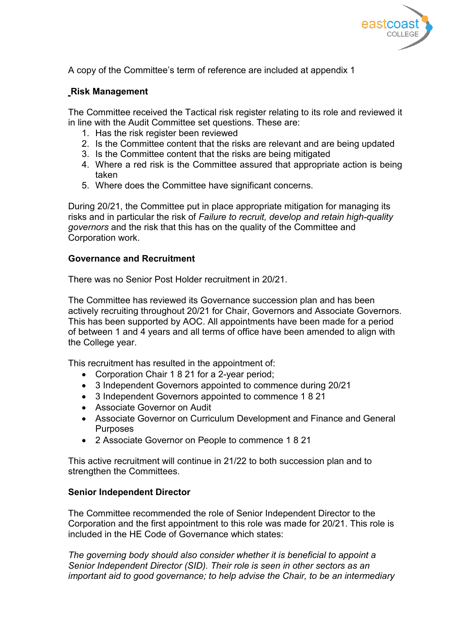

A copy of the Committee's term of reference are included at appendix 1

### **Risk Management**

The Committee received the Tactical risk register relating to its role and reviewed it in line with the Audit Committee set questions. These are:

- 1. Has the risk register been reviewed
- 2. Is the Committee content that the risks are relevant and are being updated
- 3. Is the Committee content that the risks are being mitigated
- 4. Where a red risk is the Committee assured that appropriate action is being taken
- 5. Where does the Committee have significant concerns.

During 20/21, the Committee put in place appropriate mitigation for managing its risks and in particular the risk of *Failure to recruit, develop and retain high-quality governors* and the risk that this has on the quality of the Committee and Corporation work.

### **Governance and Recruitment**

There was no Senior Post Holder recruitment in 20/21.

The Committee has reviewed its Governance succession plan and has been actively recruiting throughout 20/21 for Chair, Governors and Associate Governors. This has been supported by AOC. All appointments have been made for a period of between 1 and 4 years and all terms of office have been amended to align with the College year.

This recruitment has resulted in the appointment of:

- Corporation Chair 1 8 21 for a 2-year period;
- 3 Independent Governors appointed to commence during 20/21
- 3 Independent Governors appointed to commence 1 8 21
- Associate Governor on Audit
- Associate Governor on Curriculum Development and Finance and General **Purposes**
- 2 Associate Governor on People to commence 1 8 21

This active recruitment will continue in 21/22 to both succession plan and to strengthen the Committees.

### **Senior Independent Director**

The Committee recommended the role of Senior Independent Director to the Corporation and the first appointment to this role was made for 20/21. This role is included in the HE Code of Governance which states:

*The governing body should also consider whether it is beneficial to appoint a Senior Independent Director (SID). Their role is seen in other sectors as an important aid to good governance; to help advise the Chair, to be an intermediary*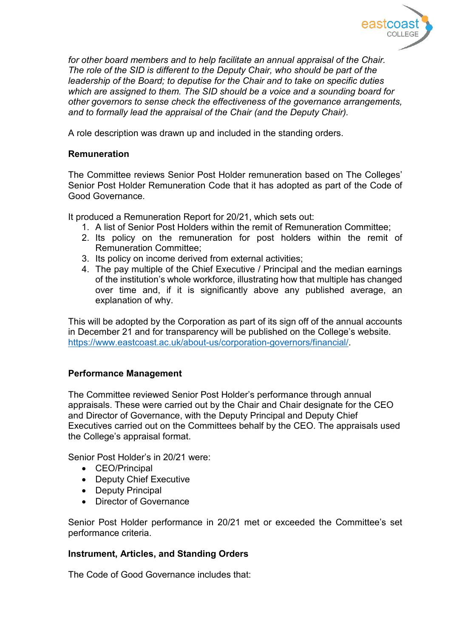

*for other board members and to help facilitate an annual appraisal of the Chair. The role of the SID is different to the Deputy Chair, who should be part of the leadership of the Board; to deputise for the Chair and to take on specific duties which are assigned to them. The SID should be a voice and a sounding board for other governors to sense check the effectiveness of the governance arrangements, and to formally lead the appraisal of the Chair (and the Deputy Chair).*

A role description was drawn up and included in the standing orders.

### **Remuneration**

The Committee reviews Senior Post Holder remuneration based on The Colleges' Senior Post Holder Remuneration Code that it has adopted as part of the Code of Good Governance.

It produced a Remuneration Report for 20/21, which sets out:

- 1. A list of Senior Post Holders within the remit of Remuneration Committee;
- 2. Its policy on the remuneration for post holders within the remit of Remuneration Committee;
- 3. Its policy on income derived from external activities;
- 4. The pay multiple of the Chief Executive / Principal and the median earnings of the institution's whole workforce, illustrating how that multiple has changed over time and, if it is significantly above any published average, an explanation of why.

This will be adopted by the Corporation as part of its sign off of the annual accounts in December 21 and for transparency will be published on the College's website. [https://www.eastcoast.ac.uk/about-us/corporation-governors/financial/.](https://www.eastcoast.ac.uk/about-us/corporation-governors/financial/)

### **Performance Management**

The Committee reviewed Senior Post Holder's performance through annual appraisals. These were carried out by the Chair and Chair designate for the CEO and Director of Governance, with the Deputy Principal and Deputy Chief Executives carried out on the Committees behalf by the CEO. The appraisals used the College's appraisal format.

Senior Post Holder's in 20/21 were:

- CEO/Principal
- Deputy Chief Executive
- Deputy Principal
- Director of Governance

Senior Post Holder performance in 20/21 met or exceeded the Committee's set performance criteria.

### **Instrument, Articles, and Standing Orders**

The Code of Good Governance includes that: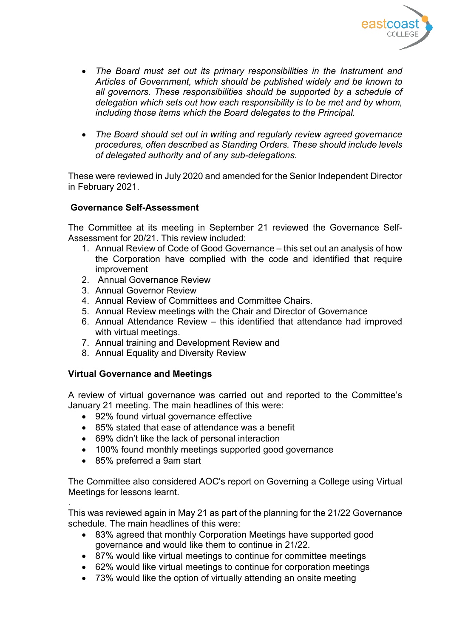

- *The Board must set out its primary responsibilities in the Instrument and Articles of Government, which should be published widely and be known to all governors. These responsibilities should be supported by a schedule of delegation which sets out how each responsibility is to be met and by whom, including those items which the Board delegates to the Principal.*
- *The Board should set out in writing and regularly review agreed governance procedures, often described as Standing Orders. These should include levels of delegated authority and of any sub-delegations.*

These were reviewed in July 2020 and amended for the Senior Independent Director in February 2021.

### **Governance Self-Assessment**

The Committee at its meeting in September 21 reviewed the Governance Self-Assessment for 20/21. This review included:

- 1. Annual Review of Code of Good Governance this set out an analysis of how the Corporation have complied with the code and identified that require improvement
- 2. Annual Governance Review
- 3. Annual Governor Review
- 4. Annual Review of Committees and Committee Chairs.
- 5. Annual Review meetings with the Chair and Director of Governance
- 6. Annual Attendance Review this identified that attendance had improved with virtual meetings.
- 7. Annual training and Development Review and
- 8. Annual Equality and Diversity Review

#### **Virtual Governance and Meetings**

A review of virtual governance was carried out and reported to the Committee's January 21 meeting. The main headlines of this were:

- 92% found virtual governance effective
- 85% stated that ease of attendance was a benefit
- 69% didn't like the lack of personal interaction
- 100% found monthly meetings supported good governance
- 85% preferred a 9am start

.

The Committee also considered AOC's report on Governing a College using Virtual Meetings for lessons learnt.

This was reviewed again in May 21 as part of the planning for the 21/22 Governance schedule. The main headlines of this were:

- 83% agreed that monthly Corporation Meetings have supported good governance and would like them to continue in 21/22.
- 87% would like virtual meetings to continue for committee meetings
- 62% would like virtual meetings to continue for corporation meetings
- 73% would like the option of virtually attending an onsite meeting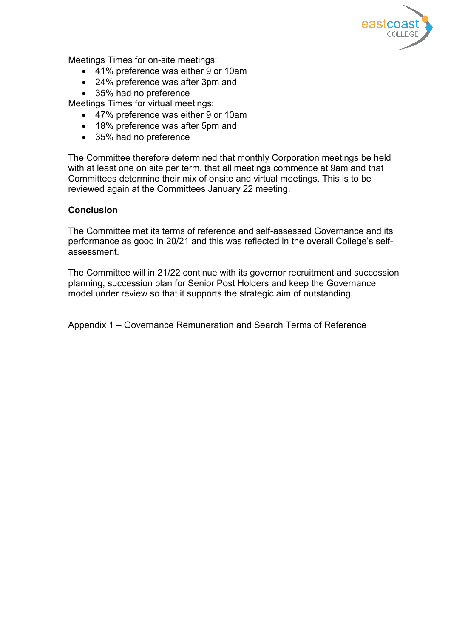

Meetings Times for on-site meetings:

- 41% preference was either 9 or 10am
- 24% preference was after 3pm and
- 35% had no preference

Meetings Times for virtual meetings:

- 47% preference was either 9 or 10am
- 18% preference was after 5pm and
- 35% had no preference

The Committee therefore determined that monthly Corporation meetings be held with at least one on site per term, that all meetings commence at 9am and that Committees determine their mix of onsite and virtual meetings. This is to be reviewed again at the Committees January 22 meeting.

### **Conclusion**

The Committee met its terms of reference and self-assessed Governance and its performance as good in 20/21 and this was reflected in the overall College's selfassessment.

The Committee will in 21/22 continue with its governor recruitment and succession planning, succession plan for Senior Post Holders and keep the Governance model under review so that it supports the strategic aim of outstanding.

Appendix 1 – Governance Remuneration and Search Terms of Reference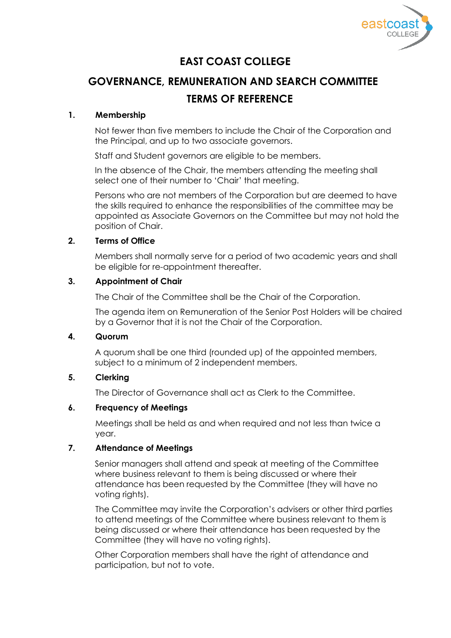

## **EAST COAST COLLEGE**

# **GOVERNANCE, REMUNERATION AND SEARCH COMMITTEE TERMS OF REFERENCE**

### **1. Membership**

Not fewer than five members to include the Chair of the Corporation and the Principal, and up to two associate governors.

Staff and Student governors are eligible to be members.

In the absence of the Chair, the members attending the meeting shall select one of their number to 'Chair' that meeting.

Persons who are not members of the Corporation but are deemed to have the skills required to enhance the responsibilities of the committee may be appointed as Associate Governors on the Committee but may not hold the position of Chair.

### **2. Terms of Office**

Members shall normally serve for a period of two academic years and shall be eligible for re-appointment thereafter.

### **3. Appointment of Chair**

The Chair of the Committee shall be the Chair of the Corporation.

The agenda item on Remuneration of the Senior Post Holders will be chaired by a Governor that it is not the Chair of the Corporation.

### **4. Quorum**

A quorum shall be one third (rounded up) of the appointed members, subject to a minimum of 2 independent members.

### **5. Clerking**

The Director of Governance shall act as Clerk to the Committee.

### **6. Frequency of Meetings**

Meetings shall be held as and when required and not less than twice a year.

### **7. Attendance of Meetings**

Senior managers shall attend and speak at meeting of the Committee where business relevant to them is being discussed or where their attendance has been requested by the Committee (they will have no voting rights).

The Committee may invite the Corporation's advisers or other third parties to attend meetings of the Committee where business relevant to them is being discussed or where their attendance has been requested by the Committee (they will have no voting rights).

Other Corporation members shall have the right of attendance and participation, but not to vote.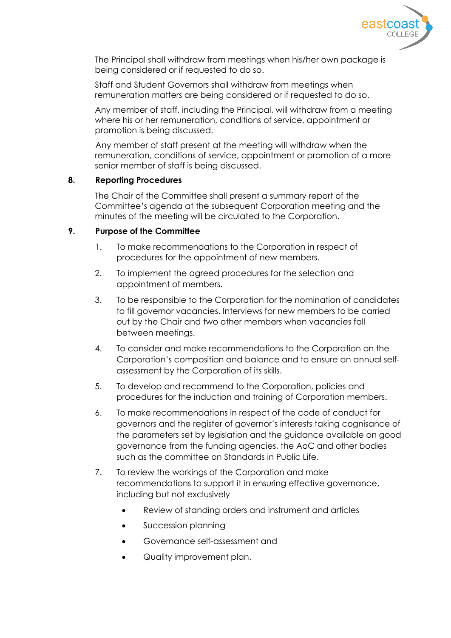

The Principal shall withdraw from meetings when his/her own package is being considered or if requested to do so.

Staff and Student Governors shall withdraw from meetings when remuneration matters are being considered or if requested to do so.

Any member of staff, including the Principal, will withdraw from a meeting where his or her remuneration, conditions of service, appointment or promotion is being discussed.

Any member of staff present at the meeting will withdraw when the remuneration, conditions of service, appointment or promotion of a more senior member of staff is being discussed.

### **8. Reporting Procedures**

The Chair of the Committee shall present a summary report of the Committee's agenda at the subsequent Corporation meeting and the minutes of the meeting will be circulated to the Corporation.

### **9. Purpose of the Committee**

- 1. To make recommendations to the Corporation in respect of procedures for the appointment of new members.
- 2. To implement the agreed procedures for the selection and appointment of members.
- 3. To be responsible to the Corporation for the nomination of candidates to fill governor vacancies. Interviews for new members to be carried out by the Chair and two other members when vacancies fall between meetings.
- 4. To consider and make recommendations to the Corporation on the Corporation's composition and balance and to ensure an annual selfassessment by the Corporation of its skills.
- 5. To develop and recommend to the Corporation, policies and procedures for the induction and training of Corporation members.
- 6. To make recommendations in respect of the code of conduct for governors and the register of governor's interests taking cognisance of the parameters set by legislation and the guidance available on good governance from the funding agencies, the AoC and other bodies such as the committee on Standards in Public Life.
- 7. To review the workings of the Corporation and make recommendations to support it in ensuring effective governance, including but not exclusively
	- Review of standing orders and instrument and articles
	- Succession planning
	- Governance self-assessment and
	- Quality improvement plan.